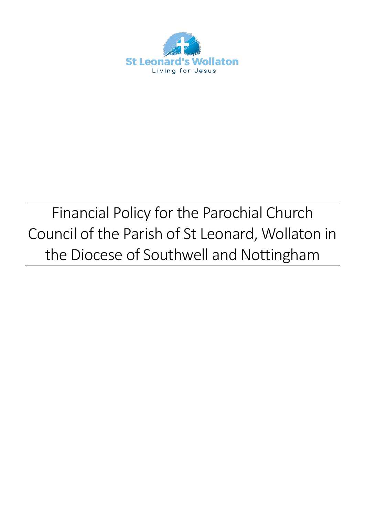

# Financial Policy for the Parochial Church Council of the Parish of St Leonard, Wollaton in the Diocese of Southwell and Nottingham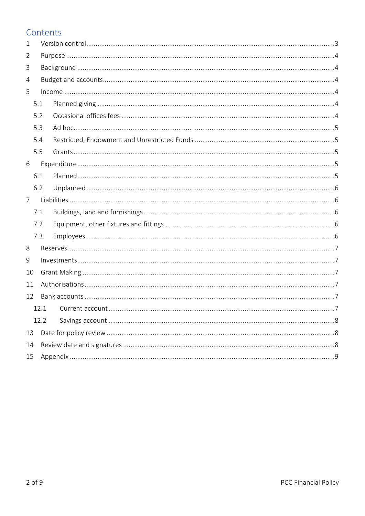## Contents

| 1              |      |  |  |  |  |
|----------------|------|--|--|--|--|
| $\overline{2}$ |      |  |  |  |  |
| 3              |      |  |  |  |  |
| 4              |      |  |  |  |  |
| 5              |      |  |  |  |  |
|                | 5.1  |  |  |  |  |
|                | 5.2  |  |  |  |  |
|                | 5.3  |  |  |  |  |
|                | 5.4  |  |  |  |  |
|                | 5.5  |  |  |  |  |
| 6              |      |  |  |  |  |
|                | 6.1  |  |  |  |  |
|                | 6.2  |  |  |  |  |
| $\overline{7}$ |      |  |  |  |  |
|                | 7.1  |  |  |  |  |
|                | 7.2  |  |  |  |  |
|                | 7.3  |  |  |  |  |
| 8              |      |  |  |  |  |
| 9              |      |  |  |  |  |
| 10             |      |  |  |  |  |
| 11             |      |  |  |  |  |
| 12             |      |  |  |  |  |
|                | 12.1 |  |  |  |  |
|                | 12.2 |  |  |  |  |
| 13             |      |  |  |  |  |
| 14             |      |  |  |  |  |
| 15             |      |  |  |  |  |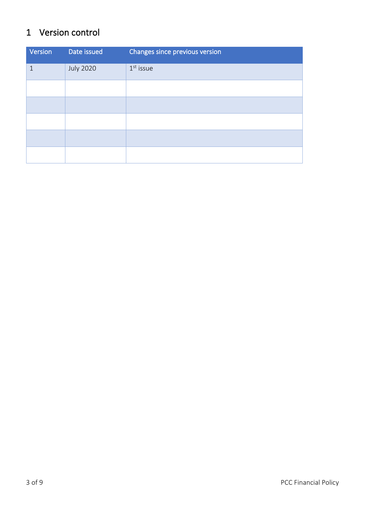# <span id="page-2-0"></span>1 Version control

| Version | Date issued      | Changes since previous version |
|---------|------------------|--------------------------------|
| 1       | <b>July 2020</b> | $1st$ issue                    |
|         |                  |                                |
|         |                  |                                |
|         |                  |                                |
|         |                  |                                |
|         |                  |                                |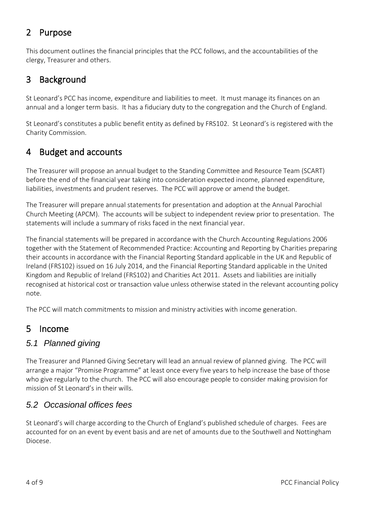# <span id="page-3-0"></span>2 Purpose

This document outlines the financial principles that the PCC follows, and the accountabilities of the clergy, Treasurer and others.

# <span id="page-3-1"></span>3 Background

St Leonard's PCC has income, expenditure and liabilities to meet. It must manage its finances on an annual and a longer term basis. It has a fiduciary duty to the congregation and the Church of England.

St Leonard's constitutes a public benefit entity as defined by FRS102. St Leonard's is registered with the Charity Commission.

# <span id="page-3-2"></span>4 Budget and accounts

The Treasurer will propose an annual budget to the Standing Committee and Resource Team (SCART) before the end of the financial year taking into consideration expected income, planned expenditure, liabilities, investments and prudent reserves. The PCC will approve or amend the budget.

The Treasurer will prepare annual statements for presentation and adoption at the Annual Parochial Church Meeting (APCM). The accounts will be subject to independent review prior to presentation. The statements will include a summary of risks faced in the next financial year.

The financial statements will be prepared in accordance with the Church Accounting Regulations 2006 together with the Statement of Recommended Practice: Accounting and Reporting by Charities preparing their accounts in accordance with the Financial Reporting Standard applicable in the UK and Republic of Ireland (FRS102) issued on 16 July 2014, and the Financial Reporting Standard applicable in the United Kingdom and Republic of Ireland (FRS102) and Charities Act 2011. Assets and liabilities are initially recognised at historical cost or transaction value unless otherwise stated in the relevant accounting policy note.

The PCC will match commitments to mission and ministry activities with income generation.

# <span id="page-3-3"></span>5 Income

#### <span id="page-3-4"></span>*5.1 Planned giving*

The Treasurer and Planned Giving Secretary will lead an annual review of planned giving. The PCC will arrange a major "Promise Programme" at least once every five years to help increase the base of those who give regularly to the church. The PCC will also encourage people to consider making provision for mission of St Leonard's in their wills.

#### <span id="page-3-5"></span>*5.2 Occasional offices fees*

St Leonard's will charge according to the Church of England's published schedule of charges. Fees are accounted for on an event by event basis and are net of amounts due to the Southwell and Nottingham Diocese.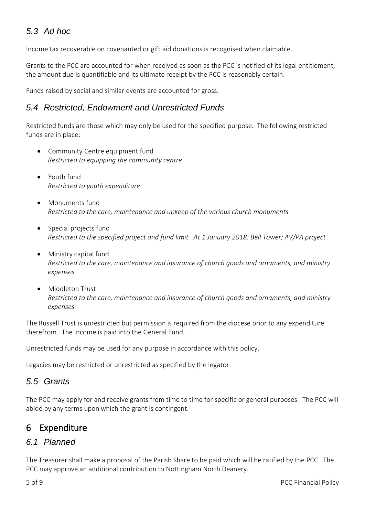## <span id="page-4-0"></span>*5.3 Ad hoc*

Income tax recoverable on covenanted or gift aid donations is recognised when claimable.

Grants to the PCC are accounted for when received as soon as the PCC is notified of its legal entitlement, the amount due is quantifiable and its ultimate receipt by the PCC is reasonably certain.

Funds raised by social and similar events are accounted for gross.

#### <span id="page-4-1"></span>*5.4 Restricted, Endowment and Unrestricted Funds*

Restricted funds are those which may only be used for the specified purpose. The following restricted funds are in place:

- Community Centre equipment fund *Restricted to equipping the community centre*
- Youth fund *Restricted to youth expenditure*
- Monuments fund *Restricted to the care, maintenance and upkeep of the various church monuments*
- Special projects fund *Restricted to the specified project and fund limit. At 1 January 2018: Bell Tower; AV/PA project*
- Ministry capital fund *Restricted to the care, maintenance and insurance of church goods and ornaments, and ministry expenses.*
- Middleton Trust *Restricted to the care, maintenance and insurance of church goods and ornaments, and ministry expenses.*

The Russell Trust is unrestricted but permission is required from the diocese prior to any expenditure therefrom. The income is paid into the General Fund.

Unrestricted funds may be used for any purpose in accordance with this policy.

Legacies may be restricted or unrestricted as specified by the legator.

### <span id="page-4-2"></span>*5.5 Grants*

The PCC may apply for and receive grants from time to time for specific or general purposes. The PCC will abide by any terms upon which the grant is contingent.

### <span id="page-4-3"></span>6 Expenditure

#### <span id="page-4-4"></span>*6.1 Planned*

The Treasurer shall make a proposal of the Parish Share to be paid which will be ratified by the PCC. The PCC may approve an additional contribution to Nottingham North Deanery.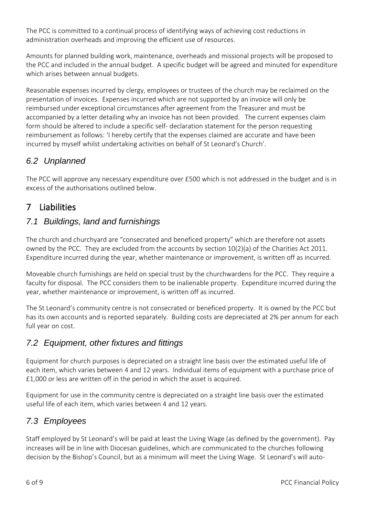The PCC is committed to a continual process of identifying ways of achieving cost reductions in administration overheads and improving the efficient use of resources.

Amounts for planned building work, maintenance, overheads and missional projects will be proposed to the PCC and included in the annual budget. A specific budget will be agreed and minuted for expenditure which arises between annual budgets.

Reasonable expenses incurred by clergy, employees or trustees of the church may be reclaimed on the presentation of invoices. Expenses incurred which are not supported by an invoice will only be reimbursed under exceptional circumstances after agreement from the Treasurer and must be accompanied by a letter detailing why an invoice has not been provided. The current expenses claim form should be altered to include a specific self- declaration statement for the person requesting reimbursement as follows: 'I hereby certify that the expenses claimed are accurate and have been incurred by myself whilst undertaking activities on behalf of St Leonard's Church'.

## <span id="page-5-0"></span>*6.2 Unplanned*

The PCC will approve any necessary expenditure over £500 which is not addressed in the budget and is in excess of the authorisations outlined below.

# <span id="page-5-1"></span>7 Liabilities

### <span id="page-5-2"></span>*7.1 Buildings, land and furnishings*

The church and churchyard are "consecrated and beneficed property" which are therefore not assets owned by the PCC. They are excluded from the accounts by section 10(2)(a) of the Charities Act 2011. Expenditure incurred during the year, whether maintenance or improvement, is written off as incurred.

Moveable church furnishings are held on special trust by the churchwardens for the PCC. They require a faculty for disposal. The PCC considers them to be inalienable property. Expenditure incurred during the year, whether maintenance or improvement, is written off as incurred.

The St Leonard's community centre is not consecrated or beneficed property. It is owned by the PCC but has its own accounts and is reported separately. Building costs are depreciated at 2% per annum for each full year on cost.

### <span id="page-5-3"></span>*7.2 Equipment, other fixtures and fittings*

Equipment for church purposes is depreciated on a straight line basis over the estimated useful life of each item, which varies between 4 and 12 years. Individual items of equipment with a purchase price of £1,000 or less are written off in the period in which the asset is acquired.

Equipment for use in the community centre is depreciated on a straight line basis over the estimated useful life of each item, which varies between 4 and 12 years.

# <span id="page-5-4"></span>*7.3 Employees*

Staff employed by St Leonard's will be paid at least the Living Wage (as defined by the government). Pay increases will be in line with Diocesan guidelines, which are communicated to the churches following decision by the Bishop's Council, but as a minimum will meet the Living Wage. St Leonard's will auto-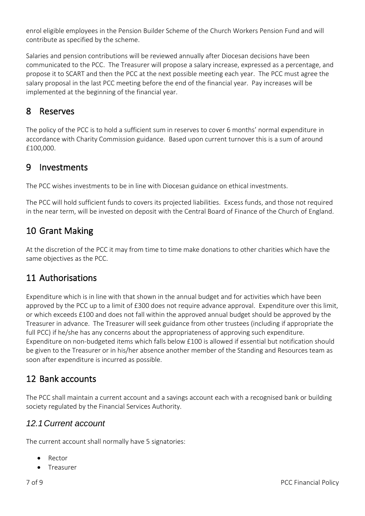enrol eligible employees in the Pension Builder Scheme of the Church Workers Pension Fund and will contribute as specified by the scheme.

Salaries and pension contributions will be reviewed annually after Diocesan decisions have been communicated to the PCC. The Treasurer will propose a salary increase, expressed as a percentage, and propose it to SCART and then the PCC at the next possible meeting each year. The PCC must agree the salary proposal in the last PCC meeting before the end of the financial year. Pay increases will be implemented at the beginning of the financial year.

#### <span id="page-6-0"></span>8 Reserves

The policy of the PCC is to hold a sufficient sum in reserves to cover 6 months' normal expenditure in accordance with Charity Commission guidance. Based upon current turnover this is a sum of around £100,000.

### <span id="page-6-1"></span>9 Investments

The PCC wishes investments to be in line with Diocesan guidance on ethical investments.

The PCC will hold sufficient funds to covers its projected liabilities. Excess funds, and those not required in the near term, will be invested on deposit with the Central Board of Finance of the Church of England.

# <span id="page-6-2"></span>10 Grant Making

At the discretion of the PCC it may from time to time make donations to other charities which have the same objectives as the PCC.

# <span id="page-6-3"></span>11 Authorisations

Expenditure which is in line with that shown in the annual budget and for activities which have been approved by the PCC up to a limit of £300 does not require advance approval. Expenditure over this limit, or which exceeds £100 and does not fall within the approved annual budget should be approved by the Treasurer in advance. The Treasurer will seek guidance from other trustees (including if appropriate the full PCC) if he/she has any concerns about the appropriateness of approving such expenditure. Expenditure on non-budgeted items which falls below £100 is allowed if essential but notification should be given to the Treasurer or in his/her absence another member of the Standing and Resources team as soon after expenditure is incurred as possible.

# <span id="page-6-4"></span>12 Bank accounts

The PCC shall maintain a current account and a savings account each with a recognised bank or building society regulated by the Financial Services Authority.

#### <span id="page-6-5"></span>*12.1Current account*

The current account shall normally have 5 signatories:

- Rector
- Treasurer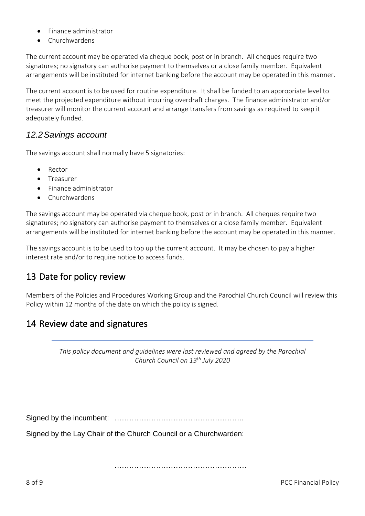- Finance administrator
- Churchwardens

The current account may be operated via cheque book, post or in branch. All cheques require two signatures; no signatory can authorise payment to themselves or a close family member. Equivalent arrangements will be instituted for internet banking before the account may be operated in this manner.

The current account is to be used for routine expenditure. It shall be funded to an appropriate level to meet the projected expenditure without incurring overdraft charges. The finance administrator and/or treasurer will monitor the current account and arrange transfers from savings as required to keep it adequately funded.

#### <span id="page-7-0"></span>*12.2Savings account*

The savings account shall normally have 5 signatories:

- Rector
- Treasurer
- Finance administrator
- Churchwardens

The savings account may be operated via cheque book, post or in branch. All cheques require two signatures; no signatory can authorise payment to themselves or a close family member. Equivalent arrangements will be instituted for internet banking before the account may be operated in this manner.

The savings account is to be used to top up the current account. It may be chosen to pay a higher interest rate and/or to require notice to access funds.

# <span id="page-7-1"></span>13 Date for policy review

Members of the Policies and Procedures Working Group and the Parochial Church Council will review this Policy within 12 months of the date on which the policy is signed.

#### <span id="page-7-2"></span>14 Review date and signatures

*This policy document and guidelines were last reviewed and agreed by the Parochial Church Council on 13th July 2020*

Signed by the incumbent: ……………………………………………..

Signed by the Lay Chair of the Church Council or a Churchwarden:

………………………………………………